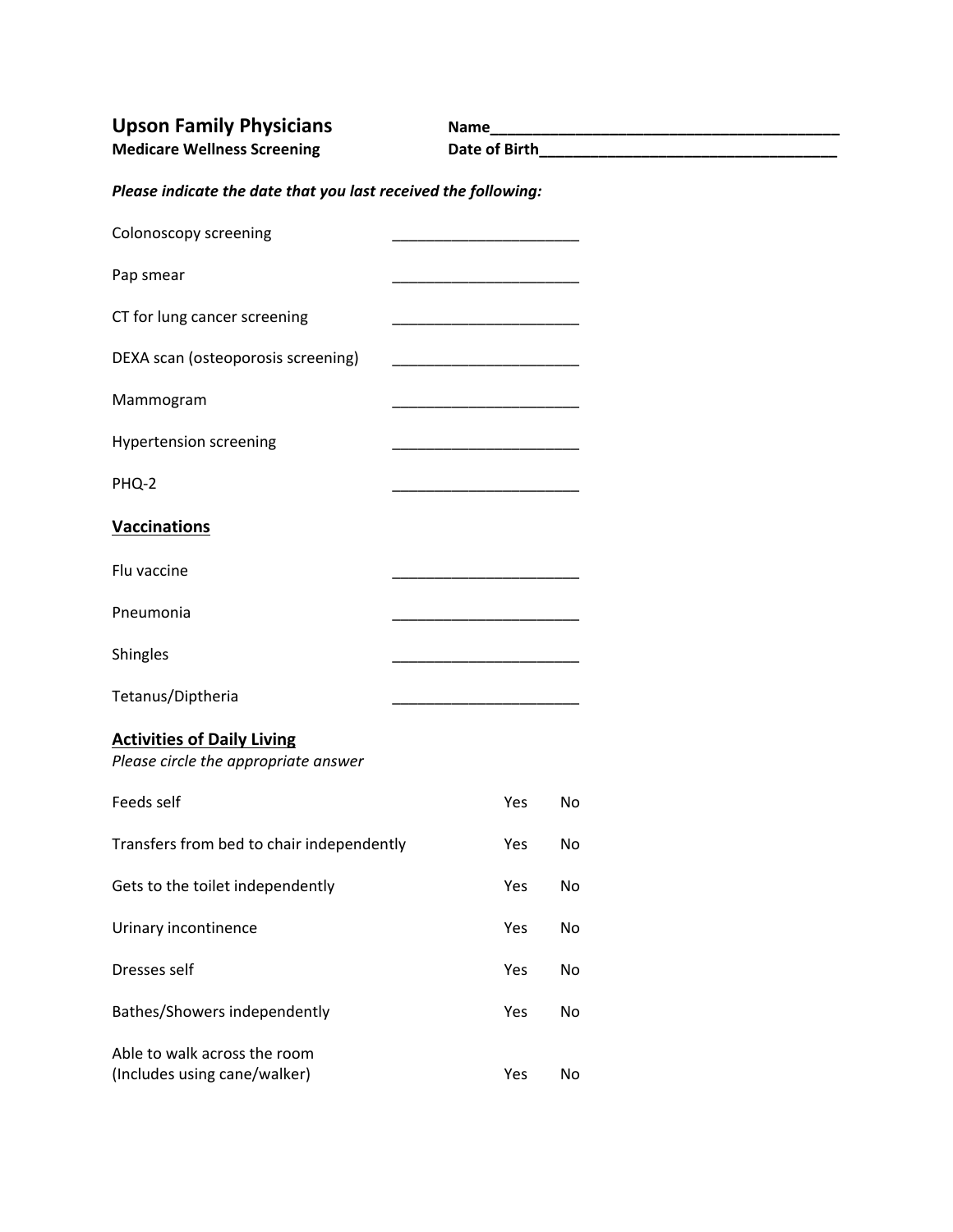**Upson Family Physicians Name\_\_\_\_\_\_\_\_\_\_\_\_\_\_\_\_\_\_\_\_\_\_\_\_\_\_\_\_\_\_\_\_\_\_\_\_\_\_\_\_\_ Medicare Wellness Screening Date of Birth\_\_\_\_\_\_\_\_\_\_\_\_\_\_\_\_\_\_\_\_\_\_\_\_\_\_\_\_\_\_\_\_\_\_\_**

| Please indicate the date that you last received the following: |  |
|----------------------------------------------------------------|--|
|                                                                |  |

| Colonoscopy screening                                                     |     |           |
|---------------------------------------------------------------------------|-----|-----------|
| Pap smear                                                                 |     |           |
| CT for lung cancer screening                                              |     |           |
| DEXA scan (osteoporosis screening)                                        |     |           |
| Mammogram                                                                 |     |           |
| <b>Hypertension screening</b>                                             |     |           |
| PHQ-2                                                                     |     |           |
| <b>Vaccinations</b>                                                       |     |           |
| Flu vaccine                                                               |     |           |
| Pneumonia                                                                 |     |           |
| Shingles                                                                  |     |           |
| Tetanus/Diptheria                                                         |     |           |
| <b>Activities of Daily Living</b><br>Please circle the appropriate answer |     |           |
| Feeds self                                                                | Yes | <b>No</b> |
| Transfers from bed to chair independently                                 | Yes | No        |
| Gets to the toilet independently                                          | Yes | No        |
| Urinary incontinence                                                      | Yes | No        |
| Dresses self                                                              | Yes | No        |
| Bathes/Showers independently                                              | Yes | No        |
| Able to walk across the room<br>(Includes using cane/walker)              | Yes | No        |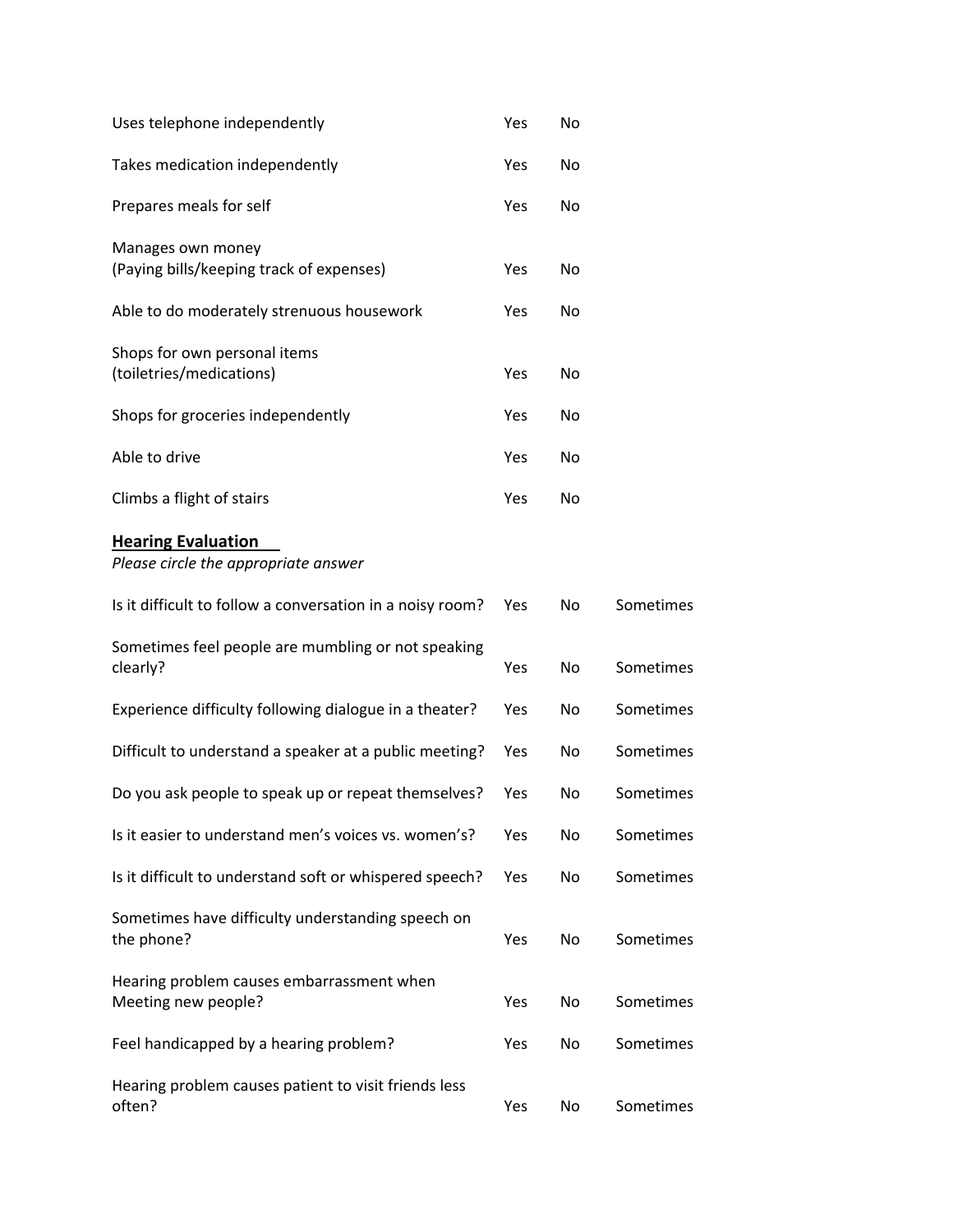| Uses telephone independently                                      | Yes | No |           |
|-------------------------------------------------------------------|-----|----|-----------|
| Takes medication independently                                    | Yes | No |           |
| Prepares meals for self                                           | Yes | No |           |
| Manages own money<br>(Paying bills/keeping track of expenses)     | Yes | No |           |
| Able to do moderately strenuous housework                         | Yes | No |           |
| Shops for own personal items<br>(toiletries/medications)          | Yes | No |           |
| Shops for groceries independently                                 | Yes | No |           |
| Able to drive                                                     | Yes | No |           |
| Climbs a flight of stairs                                         | Yes | No |           |
| <b>Hearing Evaluation</b><br>Please circle the appropriate answer |     |    |           |
| Is it difficult to follow a conversation in a noisy room?         | Yes | No | Sometimes |
| Sometimes feel people are mumbling or not speaking<br>clearly?    | Yes | No | Sometimes |
| Experience difficulty following dialogue in a theater?            | Yes | No | Sometimes |
| Difficult to understand a speaker at a public meeting?            | Yes | No | Sometimes |
| Do you ask people to speak up or repeat themselves?               | Yes | No | Sometimes |
| Is it easier to understand men's voices vs. women's?              | Yes | No | Sometimes |
| Is it difficult to understand soft or whispered speech?           | Yes | No | Sometimes |
| Sometimes have difficulty understanding speech on<br>the phone?   | Yes | No | Sometimes |
| Hearing problem causes embarrassment when<br>Meeting new people?  | Yes | No | Sometimes |
| Feel handicapped by a hearing problem?                            | Yes | No | Sometimes |
| Hearing problem causes patient to visit friends less<br>often?    | Yes | No | Sometimes |